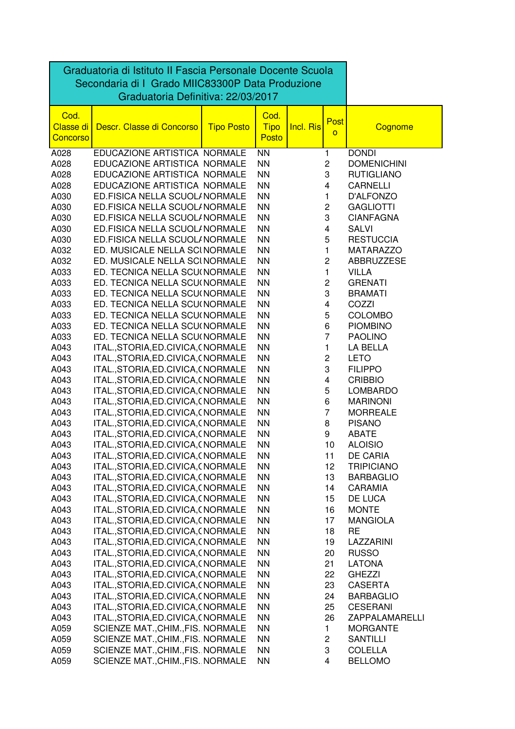| Graduatoria di Istituto II Fascia Personale Docente Scuola<br>Secondaria di I Grado MIIC83300P Data Produzione |                                                                            |                   |                                     |           |                         |                         |
|----------------------------------------------------------------------------------------------------------------|----------------------------------------------------------------------------|-------------------|-------------------------------------|-----------|-------------------------|-------------------------|
| Cod.<br><b>Classe di</b><br><b>Concorso</b>                                                                    | Graduatoria Definitiva: 22/03/2017<br>Descr. Classe di Concorso            | <b>Tipo Posto</b> | Cod.<br><b>Tipo</b><br><b>Posto</b> | Incl. Ris | Post<br>$\overline{O}$  | Cognome                 |
| A028                                                                                                           | EDUCAZIONE ARTISTICA NORMALE                                               |                   | <b>NN</b>                           |           | 1                       | <b>DONDI</b>            |
| A028                                                                                                           | EDUCAZIONE ARTISTICA NORMALE                                               |                   | <b>NN</b>                           |           | $\overline{c}$          | <b>DOMENICHINI</b>      |
| A028                                                                                                           | EDUCAZIONE ARTISTICA NORMALE                                               |                   | <b>NN</b>                           |           | 3                       | <b>RUTIGLIANO</b>       |
| A028                                                                                                           | EDUCAZIONE ARTISTICA NORMALE                                               |                   | <b>NN</b>                           |           | $\overline{\mathbf{4}}$ | <b>CARNELLI</b>         |
| A030                                                                                                           | ED.FISICA NELLA SCUOL/NORMALE                                              |                   | <b>NN</b>                           |           | 1                       | D'ALFONZO               |
| A030                                                                                                           | ED.FISICA NELLA SCUOL/NORMALE                                              |                   | <b>NN</b>                           |           | $\overline{\mathbf{c}}$ | <b>GAGLIOTTI</b>        |
| A030                                                                                                           | ED.FISICA NELLA SCUOL/NORMALE                                              |                   | <b>NN</b>                           |           | 3                       | <b>CIANFAGNA</b>        |
| A030                                                                                                           | ED.FISICA NELLA SCUOL/NORMALE                                              |                   | <b>NN</b>                           |           | 4                       | <b>SALVI</b>            |
| A030                                                                                                           | ED.FISICA NELLA SCUOL/NORMALE                                              |                   | <b>NN</b>                           |           | 5                       | <b>RESTUCCIA</b>        |
| A032                                                                                                           | ED. MUSICALE NELLA SCINORMALE                                              |                   | <b>NN</b>                           |           | 1                       | <b>MATARAZZO</b>        |
| A032                                                                                                           | ED. MUSICALE NELLA SCINORMALE                                              |                   | <b>NN</b>                           |           | $\overline{c}$          | ABBRUZZESE              |
| A033                                                                                                           | ED. TECNICA NELLA SCU(NORMALE                                              |                   | <b>NN</b>                           |           | 1                       | <b>VILLA</b>            |
| A033                                                                                                           | ED. TECNICA NELLA SCU(NORMALE                                              |                   | <b>NN</b>                           |           | $\overline{\mathbf{c}}$ | <b>GRENATI</b>          |
| A033                                                                                                           | ED. TECNICA NELLA SCU(NORMALE                                              |                   | <b>NN</b>                           |           | 3                       | <b>BRAMATI</b>          |
| A033                                                                                                           | ED. TECNICA NELLA SCU(NORMALE                                              |                   | <b>NN</b>                           |           | 4                       | COZZI                   |
| A033                                                                                                           | ED. TECNICA NELLA SCU(NORMALE                                              |                   | <b>NN</b>                           |           | 5                       | <b>COLOMBO</b>          |
| A033                                                                                                           | ED. TECNICA NELLA SCU(NORMALE                                              |                   | <b>NN</b>                           |           | 6                       | <b>PIOMBINO</b>         |
| A033                                                                                                           | ED. TECNICA NELLA SCU(NORMALE                                              |                   | <b>NN</b>                           |           | $\overline{7}$          | <b>PAOLINO</b>          |
| A043                                                                                                           | ITAL., STORIA, ED. CIVICA, (NORMALE                                        |                   | <b>NN</b>                           |           | 1                       | LA BELLA                |
| A043                                                                                                           | ITAL., STORIA, ED. CIVICA, (NORMALE                                        |                   | <b>NN</b>                           |           | $\overline{\mathbf{c}}$ | <b>LETO</b>             |
| A043                                                                                                           | ITAL., STORIA, ED. CIVICA, (NORMALE                                        |                   | <b>NN</b>                           |           | 3                       | <b>FILIPPO</b>          |
| A043                                                                                                           | ITAL., STORIA, ED. CIVICA, (NORMALE                                        |                   | <b>NN</b>                           |           | 4                       | <b>CRIBBIO</b>          |
| A043                                                                                                           | ITAL., STORIA, ED. CIVICA, (NORMALE                                        |                   | <b>NN</b>                           |           | 5                       | <b>LOMBARDO</b>         |
| A043                                                                                                           | ITAL., STORIA, ED. CIVICA, (NORMALE                                        |                   | <b>NN</b>                           |           | 6                       | <b>MARINONI</b>         |
| A043                                                                                                           | ITAL., STORIA, ED. CIVICA, (NORMALE                                        |                   | <b>NN</b>                           |           | 7                       | <b>MORREALE</b>         |
| A043                                                                                                           | ITAL., STORIA, ED. CIVICA, (NORMALE                                        |                   | <b>NN</b>                           |           | 8                       | <b>PISANO</b>           |
| A043                                                                                                           | ITAL., STORIA, ED. CIVICA, (NORMALE                                        |                   | <b>NN</b>                           |           | 9                       | <b>ABATE</b>            |
| A043                                                                                                           | ITAL., STORIA, ED. CIVICA, (NORMALE                                        |                   | <b>NN</b>                           |           | 10                      | <b>ALOISIO</b>          |
| A043                                                                                                           | ITAL., STORIA, ED. CIVICA, (NORMALE                                        |                   | <b>NN</b>                           |           | 11                      | <b>DE CARIA</b>         |
| A043                                                                                                           | ITAL., STORIA, ED. CIVICA, (NORMALE                                        |                   | <b>NN</b>                           |           | 12                      | <b>TRIPICIANO</b>       |
| A043                                                                                                           | ITAL., STORIA, ED. CIVICA, (NORMALE                                        |                   | <b>NN</b>                           |           | 13<br>14                | <b>BARBAGLIO</b>        |
| A043<br>A043                                                                                                   | ITAL., STORIA, ED. CIVICA, (NORMALE                                        |                   | <b>NN</b><br><b>NN</b>              |           |                         | CARAMIA                 |
| A043                                                                                                           | ITAL., STORIA, ED. CIVICA, (NORMALE<br>ITAL., STORIA, ED. CIVICA, (NORMALE |                   | <b>NN</b>                           |           | 15<br>16                | DE LUCA<br><b>MONTE</b> |
| A043                                                                                                           | ITAL., STORIA, ED. CIVICA, (NORMALE                                        |                   | <b>NN</b>                           |           | 17                      | <b>MANGIOLA</b>         |
| A043                                                                                                           | ITAL., STORIA, ED. CIVICA, (NORMALE                                        |                   | <b>NN</b>                           |           | 18                      | <b>RE</b>               |
| A043                                                                                                           | ITAL., STORIA, ED. CIVICA, (NORMALE                                        |                   | <b>NN</b>                           |           | 19                      | LAZZARINI               |
| A043                                                                                                           | ITAL., STORIA, ED. CIVICA, (NORMALE                                        |                   | <b>NN</b>                           |           | 20                      | <b>RUSSO</b>            |
| A043                                                                                                           | ITAL., STORIA, ED. CIVICA, (NORMALE                                        |                   | <b>NN</b>                           |           | 21                      | <b>LATONA</b>           |
| A043                                                                                                           | ITAL., STORIA, ED. CIVICA, (NORMALE                                        |                   | <b>NN</b>                           |           | 22                      | <b>GHEZZI</b>           |
| A043                                                                                                           | ITAL., STORIA, ED. CIVICA, (NORMALE                                        |                   | <b>NN</b>                           |           | 23                      | <b>CASERTA</b>          |
| A043                                                                                                           | ITAL., STORIA, ED. CIVICA, (NORMALE                                        |                   | <b>NN</b>                           |           | 24                      | <b>BARBAGLIO</b>        |
| A043                                                                                                           | ITAL., STORIA, ED. CIVICA, (NORMALE                                        |                   | <b>NN</b>                           |           | 25                      | <b>CESERANI</b>         |
| A043                                                                                                           | ITAL., STORIA, ED. CIVICA, (NORMALE                                        |                   | <b>NN</b>                           |           | 26                      | ZAPPALAMARELLI          |
| A059                                                                                                           | SCIENZE MAT., CHIM., FIS. NORMALE                                          |                   | <b>NN</b>                           |           | 1                       | <b>MORGANTE</b>         |
| A059                                                                                                           | SCIENZE MAT., CHIM., FIS. NORMALE                                          |                   | <b>NN</b>                           |           | $\overline{c}$          | <b>SANTILLI</b>         |
| A059                                                                                                           | SCIENZE MAT., CHIM., FIS. NORMALE                                          |                   | <b>NN</b>                           |           | 3                       | <b>COLELLA</b>          |
| A059                                                                                                           | SCIENZE MAT., CHIM., FIS. NORMALE                                          |                   | <b>NN</b>                           |           | $\overline{\mathbf{4}}$ | <b>BELLOMO</b>          |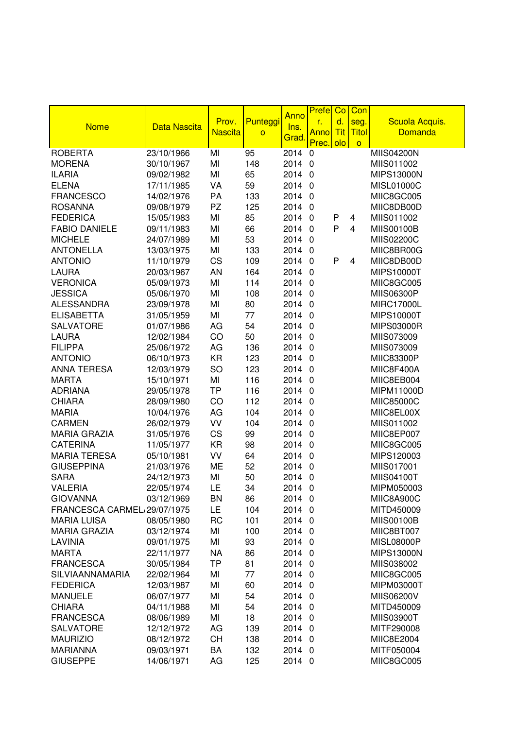|                             |                     |                |                |              | <b>Prefe</b>   | Co         | Con                     |                   |
|-----------------------------|---------------------|----------------|----------------|--------------|----------------|------------|-------------------------|-------------------|
| <b>Nome</b>                 | <b>Data Nascita</b> | Prov.          | Punteggi       | Anno<br>Ins. | r.             | d.         | seg.                    | Scuola Acquis.    |
|                             |                     | <b>Nascita</b> | $\overline{O}$ | Grad         | <b>Anno</b>    | <b>Tit</b> | <b>Titol</b>            | <b>Domanda</b>    |
|                             |                     |                |                |              | Prec.          | olo        | $\circ$                 |                   |
| <b>ROBERTA</b>              | 23/10/1966          | MI             | 95             | 2014         | 0              |            |                         | <b>MIIS04200N</b> |
| <b>MORENA</b>               | 30/10/1967          | MI             | 148            | 2014 0       |                |            |                         | MIIS011002        |
| <b>ILARIA</b>               | 09/02/1982          | MI             | 65             | 2014         | $\overline{0}$ |            |                         | <b>MIPS13000N</b> |
| <b>ELENA</b>                | 17/11/1985          | VA             | 59             | 2014         | $\overline{0}$ |            |                         | MISL01000C        |
| <b>FRANCESCO</b>            | 14/02/1976          | PA             | 133            | 2014         | $\overline{0}$ |            |                         | MIIC8GC005        |
| <b>ROSANNA</b>              | 09/08/1979          | PZ             | 125            | 2014         | $\mathbf 0$    |            |                         | MIIC8DB00D        |
| <b>FEDERICA</b>             | 15/05/1983          | MI             | 85             | 2014         | $\mathbf 0$    | P          | 4                       | MIIS011002        |
| <b>FABIO DANIELE</b>        | 09/11/1983          | MI             | 66             | 2014         | $\mathbf 0$    | P          | $\overline{\mathbf{4}}$ | <b>MIIS00100B</b> |
| <b>MICHELE</b>              | 24/07/1989          | MI             | 53             | 2014         | $\mathbf 0$    |            |                         | MIIS02200C        |
| <b>ANTONELLA</b>            | 13/03/1975          | MI             | 133            | 2014         | $\overline{0}$ |            |                         | MIIC8BR00G        |
| <b>ANTONIO</b>              | 11/10/1979          | CS             | 109            | 2014         | $\overline{0}$ | P          | 4                       | MIIC8DB00D        |
| <b>LAURA</b>                | 20/03/1967          | AN             | 164            | 2014 0       |                |            |                         | <b>MIPS10000T</b> |
| <b>VERONICA</b>             | 05/09/1973          | MI             | 114            | 2014 0       |                |            |                         | MIIC8GC005        |
| <b>JESSICA</b>              | 05/06/1970          | MI             | 108            | 2014 0       |                |            |                         | <b>MIIS06300P</b> |
| <b>ALESSANDRA</b>           | 23/09/1978          | MI             | 80             | 2014         | $\overline{0}$ |            |                         | <b>MIRC17000L</b> |
| <b>ELISABETTA</b>           | 31/05/1959          | MI             | 77             | 2014 0       |                |            |                         | <b>MIPS10000T</b> |
| <b>SALVATORE</b>            | 01/07/1986          | AG             | 54             | 2014         | $\overline{0}$ |            |                         | <b>MIPS03000R</b> |
| <b>LAURA</b>                | 12/02/1984          | CO             | 50             | 2014         | $\overline{0}$ |            |                         | MIIS073009        |
| <b>FILIPPA</b>              | 25/06/1972          | AG             | 136            | 2014         | $\overline{0}$ |            |                         | MIIS073009        |
| <b>ANTONIO</b>              | 06/10/1973          | <b>KR</b>      | 123            | 2014         | $\mathbf 0$    |            |                         | MIIC83300P        |
| <b>ANNA TERESA</b>          | 12/03/1979          | SO             | 123            | 2014         | $\mathbf 0$    |            |                         | MIIC8F400A        |
| <b>MARTA</b>                | 15/10/1971          | MI             | 116            | 2014         | $\overline{0}$ |            |                         | MIIC8EB004        |
| <b>ADRIANA</b>              | 29/05/1978          | <b>TP</b>      | 116            | 2014         | $\overline{0}$ |            |                         | MIPM11000D        |
| <b>CHIARA</b>               | 28/09/1980          | CO             | 112            | 2014         | $\overline{0}$ |            |                         | MIIC85000C        |
| <b>MARIA</b>                | 10/04/1976          | AG             | 104            | 2014 0       |                |            |                         | MIIC8EL00X        |
| <b>CARMEN</b>               | 26/02/1979          | VV             | 104            | 2014 0       |                |            |                         | MIIS011002        |
| <b>MARIA GRAZIA</b>         | 31/05/1976          | CS             | 99             | 2014         | $\overline{0}$ |            |                         | MIIC8EP007        |
| <b>CATERINA</b>             | 11/05/1977          | <b>KR</b>      | 98             | 2014         | $\overline{0}$ |            |                         | MIIC8GC005        |
| <b>MARIA TERESA</b>         | 05/10/1981          | VV             | 64             | 2014         | $\overline{0}$ |            |                         | MIPS120003        |
| <b>GIUSEPPINA</b>           | 21/03/1976          | ME             | 52             | 2014         | $\overline{0}$ |            |                         | MIIS017001        |
| <b>SARA</b>                 | 24/12/1973          | MI             | 50             | 2014         | $\mathbf 0$    |            |                         | <b>MIIS04100T</b> |
| <b>VALERIA</b>              | 22/05/1974          | LE             | 34             | 2014 0       |                |            |                         | MIPM050003        |
| <b>GIOVANNA</b>             | 03/12/1969          | <b>BN</b>      | 86             | 2014 0       |                |            |                         | MIIC8A900C        |
| FRANCESCA CARMEL 29/07/1975 |                     | LE             | 104            | 2014 0       |                |            |                         | MITD450009        |
| <b>MARIA LUISA</b>          | 08/05/1980          | <b>RC</b>      | 101            | 2014 0       |                |            |                         | <b>MIIS00100B</b> |
| <b>MARIA GRAZIA</b>         | 03/12/1974          | MI             | 100            | 2014 0       |                |            |                         | MIIC8BT007        |
| LAVINIA                     | 09/01/1975          | MI             | 93             | 2014 0       |                |            |                         | <b>MISL08000P</b> |
| <b>MARTA</b>                | 22/11/1977          | <b>NA</b>      | 86             | 2014 0       |                |            |                         | <b>MIPS13000N</b> |
| <b>FRANCESCA</b>            | 30/05/1984          | TP             | 81             | 2014 0       |                |            |                         | MIIS038002        |
| SILVIAANNAMARIA             | 22/02/1964          | MI             | 77             | 2014 0       |                |            |                         | MIIC8GC005        |
| <b>FEDERICA</b>             | 12/03/1987          | MI             | 60             | 2014 0       |                |            |                         | MIPM03000T        |
| <b>MANUELE</b>              | 06/07/1977          | MI             | 54             | 2014 0       |                |            |                         | MIIS06200V        |
| <b>CHIARA</b>               | 04/11/1988          | MI             | 54             | 2014 0       |                |            |                         | MITD450009        |
| <b>FRANCESCA</b>            | 08/06/1989          | MI             | 18             | 2014 0       |                |            |                         | <b>MIIS03900T</b> |
| <b>SALVATORE</b>            | 12/12/1972          | AG             | 139            | 2014 0       |                |            |                         | MITF290008        |
| <b>MAURIZIO</b>             | 08/12/1972          | CH             | 138            | 2014 0       |                |            |                         | MIIC8E2004        |
| <b>MARIANNA</b>             | 09/03/1971          | BA             | 132            | 2014 0       |                |            |                         | MITF050004        |
| <b>GIUSEPPE</b>             | 14/06/1971          | AG             | 125            | 2014 0       |                |            |                         | MIIC8GC005        |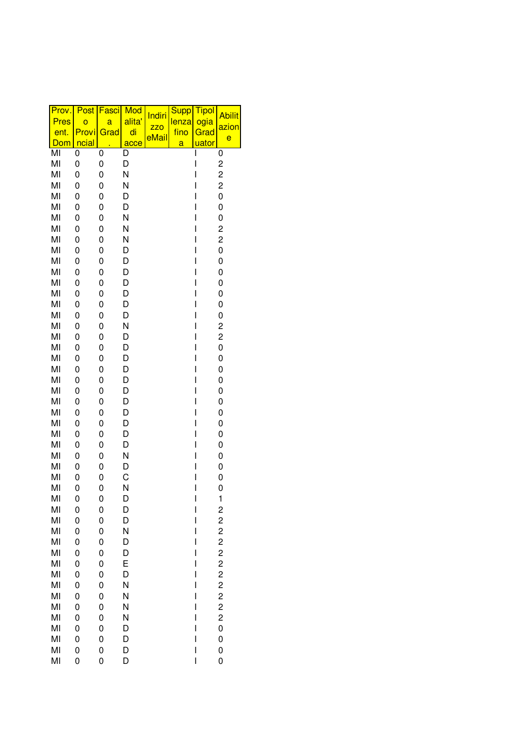| Mod<br>Post<br>Fasci<br>Prov.<br>Indiri             | <b>Supp</b><br><b>Tipol</b><br><b>Abilit</b>      |
|-----------------------------------------------------|---------------------------------------------------|
| alita'<br><b>Pres</b><br>$\overline{O}$<br>a<br>ZZO | ogia<br>lenza<br>azion                            |
| di<br>Provi<br>ent.<br>Grad<br>eMail                | fino<br>Grad<br>e                                 |
| ncial<br>Dom<br>acce                                | <u>uator</u><br>a                                 |
| MI<br>0<br>0<br>D                                   | 0<br>I                                            |
| MI<br>0<br>0<br>D                                   | I<br>2                                            |
| MI<br>N<br>0<br>0<br>MI<br>N<br>0<br>0              | I<br>2<br>$\overline{\mathbf{c}}$<br>I            |
| MI<br>0<br>0<br>D                                   | I<br>0                                            |
| MI<br>0<br>0<br>D                                   | I<br>0                                            |
| MI<br>N<br>0<br>0                                   | I<br>0                                            |
| MI<br>N<br>0<br>0                                   | I<br>2                                            |
| MI<br>N<br>0<br>0                                   | 2<br>ı                                            |
| MI<br>0<br>D<br>0                                   | I<br>0                                            |
| MI<br>0<br>0<br>D                                   | I<br>0                                            |
| MI<br>0<br>0<br>D                                   | 0<br>I                                            |
| MI<br>0<br>0<br>D                                   | I<br>0                                            |
| MI<br>D<br>0<br>0                                   | I<br>0                                            |
| MI<br>0<br>0<br>D                                   | I<br>0                                            |
| MI<br>D<br>0<br>0                                   | I<br>0                                            |
| N<br>MI<br>0<br>0                                   | I<br>2                                            |
| MI<br>0<br>0<br>D                                   | I<br>2                                            |
| MI<br>0<br>0<br>D<br>D<br>MI<br>0<br>0              | I<br>0<br>I<br>0                                  |
| MI<br>0<br>D<br>0                                   | I<br>0                                            |
| MI<br>0<br>D<br>0                                   | I<br>0                                            |
| MI<br>0<br>D<br>0                                   | I<br>0                                            |
| MI<br>0<br>0<br>D                                   | I<br>0                                            |
| MI<br>0<br>D<br>0                                   | I<br>0                                            |
| MI<br>0<br>0<br>D                                   | I<br>0                                            |
| MI<br>0<br>D<br>0                                   | I<br>0                                            |
| MI<br>0<br>D<br>0                                   | I<br>0                                            |
| MI<br>N<br>0<br>0                                   | I<br>0                                            |
| MI<br>0<br>0<br>D                                   | I<br>0                                            |
| C<br>MI<br>0<br>0                                   | ı<br>0                                            |
| MI<br>N<br>0<br>0                                   | I<br>0                                            |
| MI<br>0<br>D<br>0<br>MI<br>0<br>D<br>0              | I<br>$\mathbf{1}$<br>$\overline{\mathbf{c}}$<br>I |
| MI<br>0<br>D<br>0                                   | $\overline{\mathbf{c}}$<br>I                      |
| MI<br>N<br>0<br>0                                   | $\overline{c}$<br>I                               |
| MI<br>D<br>0<br>0                                   | $\overline{c}$<br>I                               |
| MI<br>0<br>D<br>0                                   | I                                                 |
| MI<br>E<br>0<br>0                                   | $\frac{2}{2}$<br>I                                |
| D<br>MI<br>0<br>0                                   | $\overline{\mathbf{c}}$<br>I                      |
| N<br>MI<br>0<br>0                                   | I                                                 |
| N<br>MI<br>0<br>0                                   |                                                   |
| MI<br>0<br>N<br>0                                   | $\frac{2}{2}$<br>I                                |
| MI<br>0<br>0<br>N                                   | $\overline{c}$<br>I                               |
|                                                     | $\overline{\mathbf{c}}$<br>I                      |
| MI<br>D<br>0<br>0                                   | 0<br>I                                            |
| MI<br>D<br>0<br>0<br>MI<br>0<br>0<br>D              | I<br>0<br>I<br>0                                  |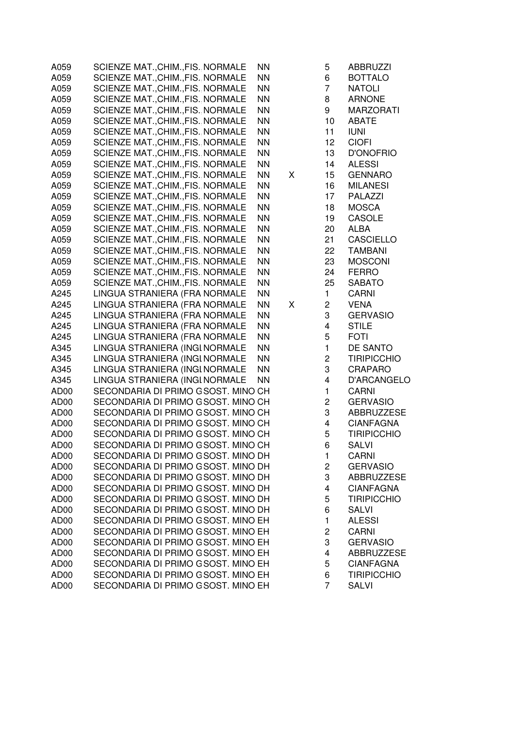| A059             | SCIENZE MAT., CHIM., FIS. NORMALE<br><b>NN</b>        | 5                       | <b>ABBRUZZI</b>    |
|------------------|-------------------------------------------------------|-------------------------|--------------------|
| A059             | SCIENZE MAT., CHIM., FIS. NORMALE<br><b>NN</b>        | 6                       | <b>BOTTALO</b>     |
| A059             | <b>NN</b><br>SCIENZE MAT., CHIM., FIS. NORMALE        | $\overline{7}$          | <b>NATOLI</b>      |
| A059             | SCIENZE MAT., CHIM., FIS. NORMALE<br><b>NN</b>        | 8                       | <b>ARNONE</b>      |
| A059             | SCIENZE MAT., CHIM., FIS. NORMALE<br><b>NN</b>        | 9                       | <b>MARZORATI</b>   |
| A059             | <b>NN</b><br>SCIENZE MAT., CHIM., FIS. NORMALE        | 10                      | <b>ABATE</b>       |
| A059             | <b>NN</b><br>SCIENZE MAT., CHIM., FIS. NORMALE        | 11                      | <b>IUNI</b>        |
| A059             | SCIENZE MAT., CHIM., FIS. NORMALE<br><b>NN</b>        | 12                      | <b>CIOFI</b>       |
| A059             | SCIENZE MAT., CHIM., FIS. NORMALE<br><b>NN</b>        | 13                      | <b>D'ONOFRIO</b>   |
| A059             | <b>NN</b><br>SCIENZE MAT., CHIM., FIS. NORMALE        | 14                      | <b>ALESSI</b>      |
| A059             | SCIENZE MAT., CHIM., FIS. NORMALE<br><b>NN</b>        | Χ<br>15                 | <b>GENNARO</b>     |
| A059             | SCIENZE MAT., CHIM., FIS. NORMALE<br><b>NN</b>        | 16                      | <b>MILANESI</b>    |
| A059             | SCIENZE MAT., CHIM., FIS. NORMALE<br><b>NN</b>        | 17                      | <b>PALAZZI</b>     |
| A059             | SCIENZE MAT., CHIM., FIS. NORMALE<br><b>NN</b>        | 18                      | <b>MOSCA</b>       |
| A059             | <b>NN</b><br>SCIENZE MAT., CHIM., FIS. NORMALE        | 19                      | <b>CASOLE</b>      |
| A059             | <b>NN</b><br>SCIENZE MAT., CHIM., FIS. NORMALE        | 20                      | <b>ALBA</b>        |
| A059             | <b>NN</b><br>SCIENZE MAT., CHIM., FIS. NORMALE        | 21                      | <b>CASCIELLO</b>   |
| A059             | <b>NN</b><br><b>SCIENZE MAT., CHIM., FIS. NORMALE</b> | 22                      | <b>TAMBANI</b>     |
| A059             | <b>NN</b><br>SCIENZE MAT., CHIM., FIS. NORMALE        | 23                      | <b>MOSCONI</b>     |
| A059             | <b>NN</b><br>SCIENZE MAT., CHIM., FIS. NORMALE        | 24                      | <b>FERRO</b>       |
| A059             | <b>NN</b><br>SCIENZE MAT., CHIM., FIS. NORMALE        | 25                      | <b>SABATO</b>      |
| A245             | LINGUA STRANIERA (FRA NORMALE<br><b>NN</b>            | $\mathbf{1}$            | <b>CARNI</b>       |
| A245             | LINGUA STRANIERA (FRA NORMALE<br><b>NN</b>            | $\overline{c}$<br>Χ     | <b>VENA</b>        |
| A245             | LINGUA STRANIERA (FRA NORMALE<br><b>NN</b>            | 3                       | <b>GERVASIO</b>    |
| A245             | LINGUA STRANIERA (FRA NORMALE<br><b>NN</b>            | $\overline{\mathbf{4}}$ | <b>STILE</b>       |
| A245             | LINGUA STRANIERA (FRA NORMALE<br><b>NN</b>            | 5                       | <b>FOTI</b>        |
| A345             | LINGUA STRANIERA (INGI NORMALE<br><b>NN</b>           | $\mathbf{1}$            | DE SANTO           |
| A345             | LINGUA STRANIERA (INGI NORMALE<br><b>NN</b>           | $\overline{c}$          | <b>TIRIPICCHIO</b> |
| A345             | LINGUA STRANIERA (INGI NORMALE<br><b>NN</b>           | 3                       | <b>CRAPARO</b>     |
| A345             | LINGUA STRANIERA (INGI NORMALE<br><b>NN</b>           | $\overline{\mathbf{4}}$ | D'ARCANGELO        |
| AD00             | SECONDARIA DI PRIMO GSOST. MINO CH                    | 1                       | <b>CARNI</b>       |
| AD00             | SECONDARIA DI PRIMO GSOST. MINO CH                    | $\overline{c}$          | <b>GERVASIO</b>    |
| AD00             | SECONDARIA DI PRIMO GSOST. MINO CH                    | 3                       | <b>ABBRUZZESE</b>  |
| AD00             | SECONDARIA DI PRIMO GSOST. MINO CH                    | 4                       | <b>CIANFAGNA</b>   |
| AD00             | SECONDARIA DI PRIMO GSOST. MINO CH                    | 5                       | <b>TIRIPICCHIO</b> |
| AD00             | SECONDARIA DI PRIMO GSOST. MINO CH                    | 6                       | <b>SALVI</b>       |
| AD00             | SECONDARIA DI PRIMO GSOST. MINO DH                    | 1                       | <b>CARNI</b>       |
| AD00             | SECONDARIA DI PRIMO GSOST. MINO DH                    | $\overline{c}$          | <b>GERVASIO</b>    |
| AD00             | SECONDARIA DI PRIMO GSOST. MINO DH                    | 3                       | <b>ABBRUZZESE</b>  |
| AD00             | SECONDARIA DI PRIMO GSOST. MINO DH                    | $\overline{4}$          | <b>CIANFAGNA</b>   |
| AD00             | SECONDARIA DI PRIMO GSOST. MINO DH                    | 5                       | <b>TIRIPICCHIO</b> |
| AD00             | SECONDARIA DI PRIMO GSOST. MINO DH                    | 6                       | <b>SALVI</b>       |
| AD00             | SECONDARIA DI PRIMO GSOST. MINO EH                    | 1                       | <b>ALESSI</b>      |
| AD00             | SECONDARIA DI PRIMO GSOST. MINO EH                    | $\overline{c}$          | <b>CARNI</b>       |
| AD00             | SECONDARIA DI PRIMO GSOST. MINO EH                    | 3                       | <b>GERVASIO</b>    |
| AD00             | SECONDARIA DI PRIMO GSOST. MINO EH                    | 4                       | <b>ABBRUZZESE</b>  |
| AD00             | SECONDARIA DI PRIMO GSOST. MINO EH                    | 5                       | <b>CIANFAGNA</b>   |
| AD <sub>00</sub> | SECONDARIA DI PRIMO GSOST. MINO EH                    | 6                       | <b>TIRIPICCHIO</b> |
| AD00             | SECONDARIA DI PRIMO GSOST. MINO EH                    | $\overline{7}$          | <b>SALVI</b>       |
|                  |                                                       |                         |                    |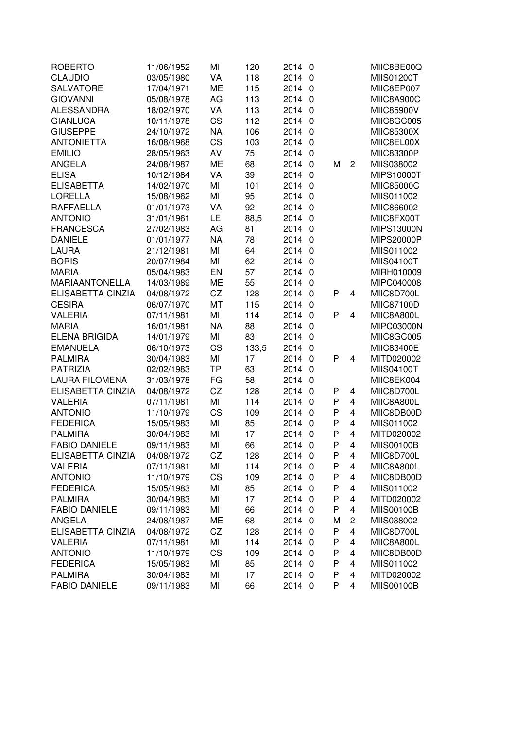| <b>ROBERTO</b>        | 11/06/1952 | MI        | 120   | 2014   | 0                       |   |                | MIIC8BE00Q        |
|-----------------------|------------|-----------|-------|--------|-------------------------|---|----------------|-------------------|
| <b>CLAUDIO</b>        | 03/05/1980 | VA        | 118   | 2014   | $\theta$                |   |                | <b>MIIS01200T</b> |
| <b>SALVATORE</b>      | 17/04/1971 | <b>ME</b> | 115   | 2014   | $\overline{0}$          |   |                | MIIC8EP007        |
| <b>GIOVANNI</b>       | 05/08/1978 | AG        | 113   | 2014 0 |                         |   |                | MIIC8A900C        |
| <b>ALESSANDRA</b>     | 18/02/1970 | VA        | 113   | 2014 0 |                         |   |                | MIIC85900V        |
| <b>GIANLUCA</b>       | 10/11/1978 | <b>CS</b> | 112   | 2014 0 |                         |   |                | MIIC8GC005        |
| <b>GIUSEPPE</b>       | 24/10/1972 | <b>NA</b> | 106   | 2014 0 |                         |   |                | MIIC85300X        |
| <b>ANTONIETTA</b>     | 16/08/1968 | CS        | 103   | 2014   | $\overline{0}$          |   |                | MIIC8EL00X        |
| <b>EMILIO</b>         | 28/05/1963 | AV        | 75    | 2014   | $\overline{\mathbf{0}}$ |   |                | MIIC83300P        |
| <b>ANGELA</b>         | 24/08/1987 | <b>ME</b> | 68    | 2014   | $\overline{0}$          | M | $\overline{2}$ | MIIS038002        |
| <b>ELISA</b>          | 10/12/1984 | VA        | 39    | 2014   | $\mathbf{0}$            |   |                | <b>MIPS10000T</b> |
| <b>ELISABETTA</b>     | 14/02/1970 | MI        | 101   | 2014   | $\mathbf{0}$            |   |                | MIIC85000C        |
| <b>LORELLA</b>        | 15/08/1962 | MI        | 95    | 2014   | $\Omega$                |   |                | MIIS011002        |
| <b>RAFFAELLA</b>      | 01/01/1973 | VA        | 92    | 2014   | $\Omega$                |   |                | MIIC866002        |
| <b>ANTONIO</b>        | 31/01/1961 | LE        | 88,5  | 2014   | $\Omega$                |   |                | MIIC8FX00T        |
| <b>FRANCESCA</b>      | 27/02/1983 | AG        | 81    | 2014   | 0                       |   |                | <b>MIPS13000N</b> |
| <b>DANIELE</b>        | 01/01/1977 | <b>NA</b> | 78    | 2014   | 0                       |   |                | <b>MIPS20000P</b> |
| <b>LAURA</b>          | 21/12/1981 | MI        | 64    | 2014   | $\overline{0}$          |   |                | MIIS011002        |
| <b>BORIS</b>          | 20/07/1984 | MI        | 62    | 2014   | $\overline{0}$          |   |                | <b>MIIS04100T</b> |
| <b>MARIA</b>          | 05/04/1983 | EN        | 57    | 2014   | $\overline{0}$          |   |                | MIRH010009        |
| <b>MARIAANTONELLA</b> | 14/03/1989 | <b>ME</b> | 55    | 2014   | $\overline{0}$          |   |                | MIPC040008        |
| ELISABETTA CINZIA     | 04/08/1972 | CZ        | 128   | 2014   | $\overline{0}$          | P | 4              | MIIC8D700L        |
| <b>CESIRA</b>         | 06/07/1970 | MT        | 115   | 2014   | $\overline{0}$          |   |                | MIIC87100D        |
| <b>VALERIA</b>        | 07/11/1981 | MI        | 114   | 2014   | $\mathbf{0}$            | P | $\overline{4}$ | MIIC8A800L        |
| <b>MARIA</b>          | 16/01/1981 | <b>NA</b> | 88    | 2014   | $\Omega$                |   |                | <b>MIPC03000N</b> |
| <b>ELENA BRIGIDA</b>  | 14/01/1979 | MI        | 83    | 2014   | $\mathbf{0}$            |   |                | MIIC8GC005        |
| <b>EMANUELA</b>       | 06/10/1973 | CS        | 133,5 | 2014   | $\Omega$                |   |                | <b>MIIC83400E</b> |
| <b>PALMIRA</b>        | 30/04/1983 | MI        | 17    | 2014   | $\Omega$                | P | 4              | MITD020002        |
| <b>PATRIZIA</b>       | 02/02/1983 | <b>TP</b> | 63    | 2014   | $\overline{0}$          |   |                | <b>MIIS04100T</b> |
| <b>LAURA FILOMENA</b> | 31/03/1978 | FG        | 58    | 2014   | $\mathbf{0}$            |   |                | MIIC8EK004        |
| ELISABETTA CINZIA     | 04/08/1972 | CZ        | 128   | 2014   | $\overline{0}$          | P | 4              | MIIC8D700L        |
| <b>VALERIA</b>        | 07/11/1981 | MI        | 114   | 2014   | $\overline{0}$          | P | $\overline{4}$ | MIIC8A800L        |
| <b>ANTONIO</b>        | 11/10/1979 | CS        | 109   | 2014   | $\overline{0}$          | P | $\overline{4}$ | MIIC8DB00D        |
| <b>FEDERICA</b>       | 15/05/1983 | MI        | 85    | 2014   | $\overline{0}$          | P | $\overline{4}$ | MIIS011002        |
| <b>PALMIRA</b>        | 30/04/1983 | MI        | 17    | 2014   | $\overline{0}$          | P | $\overline{4}$ | MITD020002        |
| <b>FABIO DANIELE</b>  | 09/11/1983 | MI        | 66    | 2014 0 |                         | P | 4              | <b>MIIS00100B</b> |
| ELISABETTA CINZIA     | 04/08/1972 | CZ        | 128   | 2014 0 |                         | P | 4              | MIIC8D700L        |
| <b>VALERIA</b>        | 07/11/1981 | MI        | 114   | 2014   | 0                       | P | 4              | MIIC8A800L        |
| <b>ANTONIO</b>        | 11/10/1979 | CS        | 109   | 2014   | - 0                     | P | 4              | MIIC8DB00D        |
| <b>FEDERICA</b>       | 15/05/1983 | MI        | 85    | 2014 0 |                         | P | 4              | MIIS011002        |
| <b>PALMIRA</b>        | 30/04/1983 | MI        | 17    | 2014 0 |                         | P | 4              | MITD020002        |
| <b>FABIO DANIELE</b>  | 09/11/1983 | MI        | 66    | 2014 0 |                         | P | 4              | <b>MIIS00100B</b> |
| <b>ANGELA</b>         | 24/08/1987 | ME        | 68    | 2014 0 |                         | M | $\overline{c}$ | MIIS038002        |
| ELISABETTA CINZIA     | 04/08/1972 | CZ        | 128   | 2014 0 |                         | P | 4              | MIIC8D700L        |
| <b>VALERIA</b>        | 07/11/1981 | MI        | 114   | 2014 0 |                         | P | 4              | MIIC8A800L        |
| <b>ANTONIO</b>        | 11/10/1979 | CS        | 109   | 2014 0 |                         | P | 4              | MIIC8DB00D        |
| <b>FEDERICA</b>       | 15/05/1983 | MI        | 85    | 2014 0 |                         | P | 4              | MIIS011002        |
| <b>PALMIRA</b>        | 30/04/1983 | MI        | 17    | 2014 0 |                         | P | 4              | MITD020002        |
| <b>FABIO DANIELE</b>  | 09/11/1983 | MI        | 66    | 2014 0 |                         | P | 4              | <b>MIIS00100B</b> |